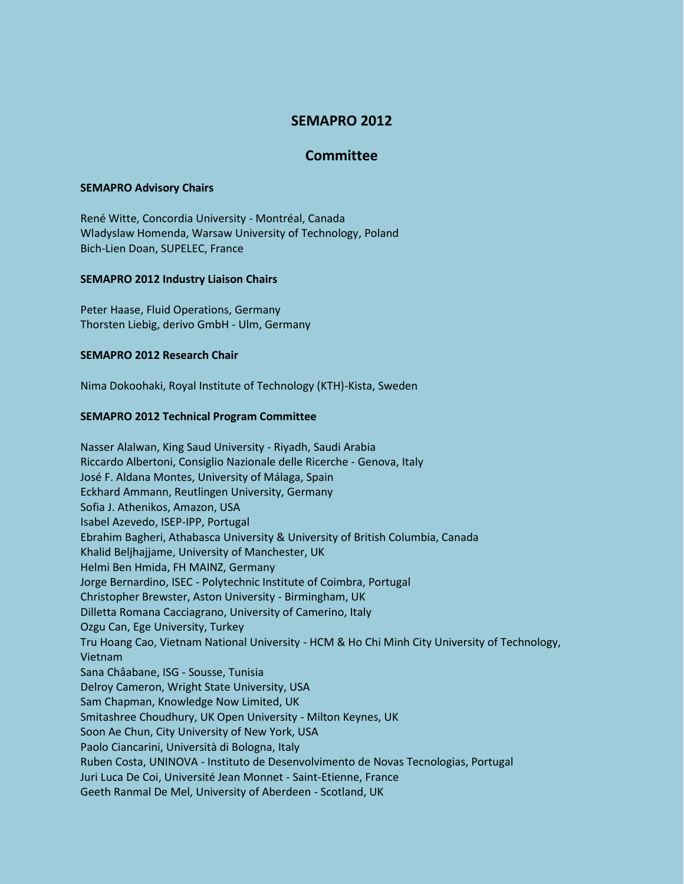# **SEMAPRO 2012**

## **Committee**

### **SEMAPRO Advisory Chairs**

René Witte, Concordia University - Montréal, Canada Wladyslaw Homenda, Warsaw University of Technology, Poland Bich-Lien Doan, SUPELEC, France

### **SEMAPRO 2012 Industry Liaison Chairs**

Peter Haase, Fluid Operations, Germany Thorsten Liebig, derivo GmbH - Ulm, Germany

### **SEMAPRO 2012 Research Chair**

Nima Dokoohaki, Royal Institute of Technology (KTH)-Kista, Sweden

### **SEMAPRO 2012 Technical Program Committee**

Nasser Alalwan, King Saud University - Riyadh, Saudi Arabia Riccardo Albertoni, Consiglio Nazionale delle Ricerche - Genova, Italy José F. Aldana Montes, University of Málaga, Spain Eckhard Ammann, Reutlingen University, Germany Sofia J. Athenikos, Amazon, USA Isabel Azevedo, ISEP-IPP, Portugal Ebrahim Bagheri, Athabasca University & University of British Columbia, Canada Khalid Beljhajjame, University of Manchester, UK Helmi Ben Hmida, FH MAINZ, Germany Jorge Bernardino, ISEC - Polytechnic Institute of Coimbra, Portugal Christopher Brewster, Aston University - Birmingham, UK Dilletta Romana Cacciagrano, University of Camerino, Italy Ozgu Can, Ege University, Turkey Tru Hoang Cao, Vietnam National University - HCM & Ho Chi Minh City University of Technology, Vietnam Sana Châabane, ISG - Sousse, Tunisia Delroy Cameron, Wright State University, USA Sam Chapman, Knowledge Now Limited, UK Smitashree Choudhury, UK Open University - Milton Keynes, UK Soon Ae Chun, City University of New York, USA Paolo Ciancarini, Università di Bologna, Italy Ruben Costa, UNINOVA - Instituto de Desenvolvimento de Novas Tecnologias, Portugal Juri Luca De Coi, Université Jean Monnet - Saint-Etienne, France Geeth Ranmal De Mel, University of Aberdeen - Scotland, UK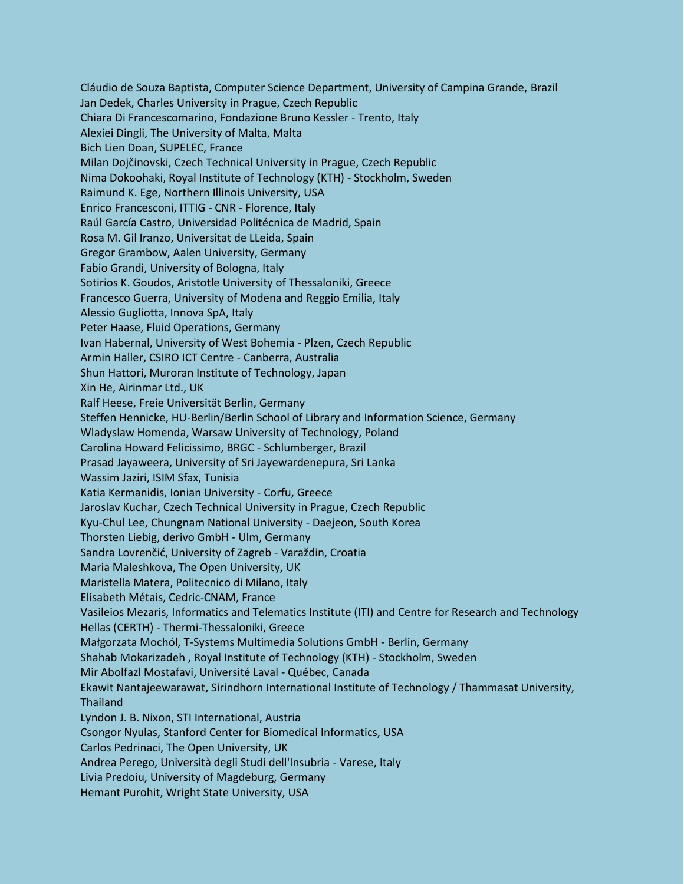Cláudio de Souza Baptista, Computer Science Department, University of Campina Grande, Brazil Jan Dedek, Charles University in Prague, Czech Republic Chiara Di Francescomarino, Fondazione Bruno Kessler - Trento, Italy Alexiei Dingli, The University of Malta, Malta Bich Lien Doan, SUPELEC, France Milan Dojčinovski, Czech Technical University in Prague, Czech Republic Nima Dokoohaki, Royal Institute of Technology (KTH) - Stockholm, Sweden Raimund K. Ege, Northern Illinois University, USA Enrico Francesconi, ITTIG - CNR - Florence, Italy Raúl García Castro, Universidad Politécnica de Madrid, Spain Rosa M. Gil Iranzo, Universitat de LLeida, Spain Gregor Grambow, Aalen University, Germany Fabio Grandi, University of Bologna, Italy Sotirios K. Goudos, Aristotle University of Thessaloniki, Greece Francesco Guerra, University of Modena and Reggio Emilia, Italy Alessio Gugliotta, Innova SpA, Italy Peter Haase, Fluid Operations, Germany Ivan Habernal, University of West Bohemia - Plzen, Czech Republic Armin Haller, CSIRO ICT Centre - Canberra, Australia Shun Hattori, Muroran Institute of Technology, Japan Xin He, Airinmar Ltd., UK Ralf Heese, Freie Universität Berlin, Germany Steffen Hennicke, HU-Berlin/Berlin School of Library and Information Science, Germany Wladyslaw Homenda, Warsaw University of Technology, Poland Carolina Howard Felicissimo, BRGC - Schlumberger, Brazil Prasad Jayaweera, University of Sri Jayewardenepura, Sri Lanka Wassim Jaziri, ISIM Sfax, Tunisia Katia Kermanidis, Ionian University - Corfu, Greece Jaroslav Kuchar, Czech Technical University in Prague, Czech Republic Kyu-Chul Lee, Chungnam National University - Daejeon, South Korea Thorsten Liebig, derivo GmbH - Ulm, Germany Sandra Lovrenčić, University of Zagreb - Varaždin, Croatia Maria Maleshkova, The Open University, UK Maristella Matera, Politecnico di Milano, Italy Elisabeth Métais, Cedric-CNAM, France Vasileios Mezaris, Informatics and Telematics Institute (ITI) and Centre for Research and Technology Hellas (CERTH) - Thermi-Thessaloniki, Greece Małgorzata Mochól, T-Systems Multimedia Solutions GmbH - Berlin, Germany Shahab Mokarizadeh , Royal Institute of Technology (KTH) - Stockholm, Sweden Mir Abolfazl Mostafavi, Université Laval - Québec, Canada Ekawit Nantajeewarawat, Sirindhorn International Institute of Technology / Thammasat University, Thailand Lyndon J. B. Nixon, STI International, Austria Csongor Nyulas, Stanford Center for Biomedical Informatics, USA Carlos Pedrinaci, The Open University, UK Andrea Perego, Università degli Studi dell'Insubria - Varese, Italy Livia Predoiu, University of Magdeburg, Germany Hemant Purohit, Wright State University, USA